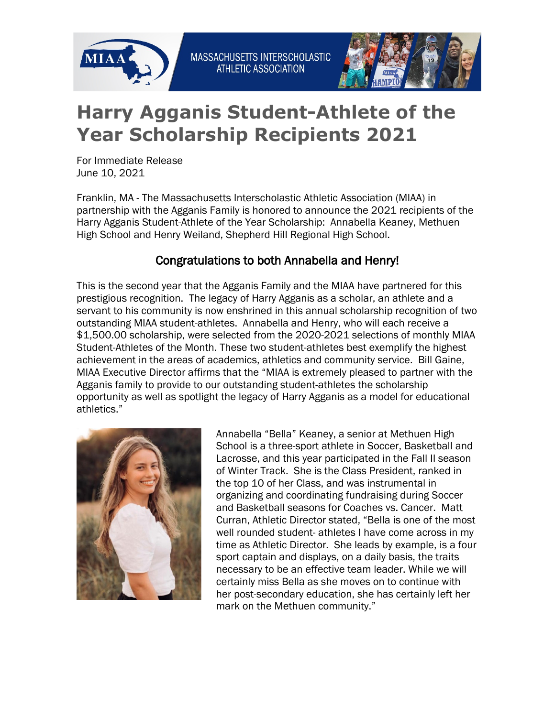



## **Harry Agganis Student-Athlete of the Year Scholarship Recipients 2021**

For Immediate Release June 10, 2021

Franklin, MA - The Massachusetts Interscholastic Athletic Association (MIAA) in partnership with the Agganis Family is honored to announce the 2021 recipients of the Harry Agganis Student-Athlete of the Year Scholarship: Annabella Keaney, Methuen High School and Henry Weiland, Shepherd Hill Regional High School.

## Congratulations to both Annabella and Henry!

This is the second year that the Agganis Family and the MIAA have partnered for this prestigious recognition. The legacy of Harry Agganis as a scholar, an athlete and a servant to his community is now enshrined in this annual scholarship recognition of two outstanding MIAA student-athletes. Annabella and Henry, who will each receive a \$1,500.00 scholarship, were selected from the 2020-2021 selections of monthly MIAA Student-Athletes of the Month. These two student-athletes best exemplify the highest achievement in the areas of academics, athletics and community service. Bill Gaine, MIAA Executive Director affirms that the "MIAA is extremely pleased to partner with the Agganis family to provide to our outstanding student-athletes the scholarship opportunity as well as spotlight the legacy of Harry Agganis as a model for educational athletics."



Annabella "Bella" Keaney, a senior at Methuen High School is a three-sport athlete in Soccer, Basketball and Lacrosse, and this year participated in the Fall II season of Winter Track. She is the Class President, ranked in the top 10 of her Class, and was instrumental in organizing and coordinating fundraising during Soccer and Basketball seasons for Coaches vs. Cancer. Matt Curran, Athletic Director stated, "Bella is one of the most well rounded student- athletes I have come across in my time as Athletic Director. She leads by example, is a four sport captain and displays, on a daily basis, the traits necessary to be an effective team leader. While we will certainly miss Bella as she moves on to continue with her post-secondary education, she has certainly left her mark on the Methuen community."